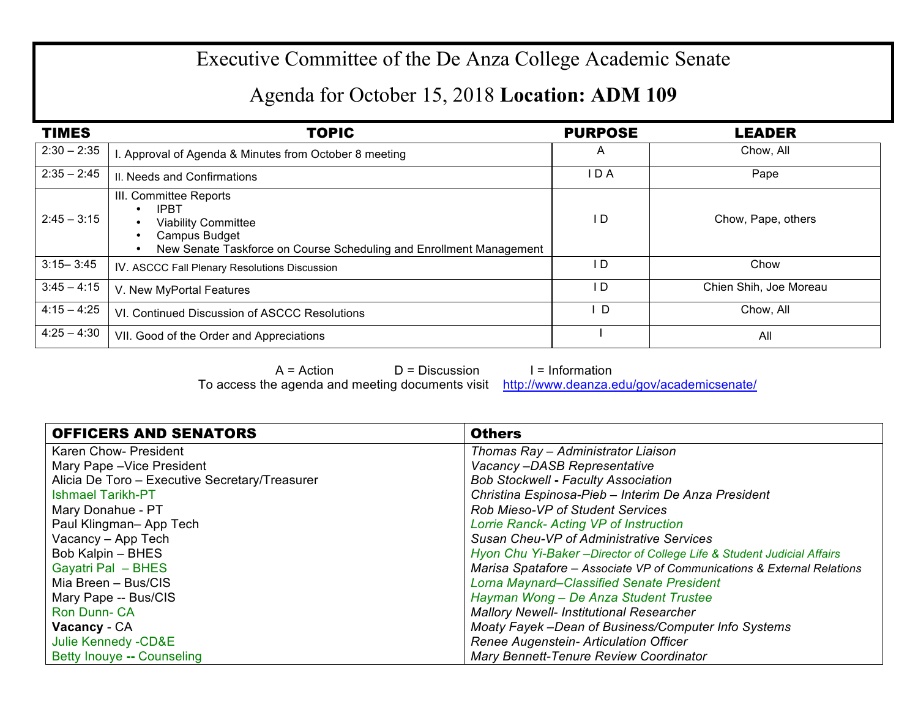## Executive Committee of the De Anza College Academic Senate

## Agenda for October 15, 2018 **Location: ADM 109**

| <b>TIMES</b>  | <b>TOPIC</b>                                                                                                                                                             | <b>PURPOSE</b> | <b>LEADER</b>          |
|---------------|--------------------------------------------------------------------------------------------------------------------------------------------------------------------------|----------------|------------------------|
| $2:30 - 2:35$ | . Approval of Agenda & Minutes from October 8 meeting                                                                                                                    | A              | Chow, All              |
| $2:35 - 2:45$ | <b>II. Needs and Confirmations</b>                                                                                                                                       | I D A          | Pape                   |
| $2:45 - 3:15$ | III. Committee Reports<br><b>IPBT</b><br>$\bullet$<br><b>Viability Committee</b><br>Campus Budget<br>New Senate Taskforce on Course Scheduling and Enrollment Management | l D            | Chow, Pape, others     |
| $3:15 - 3:45$ | IV. ASCCC Fall Plenary Resolutions Discussion                                                                                                                            | D              | Chow                   |
| $3:45 - 4:15$ | V. New MyPortal Features                                                                                                                                                 | I D            | Chien Shih, Joe Moreau |
| $4:15 - 4:25$ | VI. Continued Discussion of ASCCC Resolutions                                                                                                                            | D              | Chow, All              |
| $4:25 - 4:30$ | VII. Good of the Order and Appreciations                                                                                                                                 |                | All                    |

 $A = Action$   $D = Discussion$  I = Information

To access the agenda and meeting documents visit http://www.deanza.edu/gov/academicsenate/

| <b>OFFICERS AND SENATORS</b>                   | <b>Others</b>                                                           |
|------------------------------------------------|-------------------------------------------------------------------------|
| Karen Chow- President                          | Thomas Ray - Administrator Liaison                                      |
| Mary Pape - Vice President                     | Vacancy-DASB Representative                                             |
| Alicia De Toro - Executive Secretary/Treasurer | <b>Bob Stockwell - Faculty Association</b>                              |
| <b>Ishmael Tarikh-PT</b>                       | Christina Espinosa-Pieb - Interim De Anza President                     |
| Mary Donahue - PT                              | <b>Rob Mieso-VP of Student Services</b>                                 |
| Paul Klingman-App Tech                         | Lorrie Ranck- Acting VP of Instruction                                  |
| Vacancy - App Tech                             | Susan Cheu-VP of Administrative Services                                |
| Bob Kalpin - BHES                              | Hyon Chu Yi-Baker - Director of College Life & Student Judicial Affairs |
| Gayatri Pal - BHES                             | Marisa Spatafore - Associate VP of Communications & External Relations  |
| Mia Breen - Bus/CIS                            | <b>Lorna Maynard–Classified Senate President</b>                        |
| Mary Pape -- Bus/CIS                           | Hayman Wong - De Anza Student Trustee                                   |
| <b>Ron Dunn-CA</b>                             | <b>Mallory Newell- Institutional Researcher</b>                         |
| Vacancy - CA                                   | Moaty Fayek -Dean of Business/Computer Info Systems                     |
| Julie Kennedy -CD&E                            | Renee Augenstein- Articulation Officer                                  |
| Betty Inouye -- Counseling                     | Mary Bennett-Tenure Review Coordinator                                  |